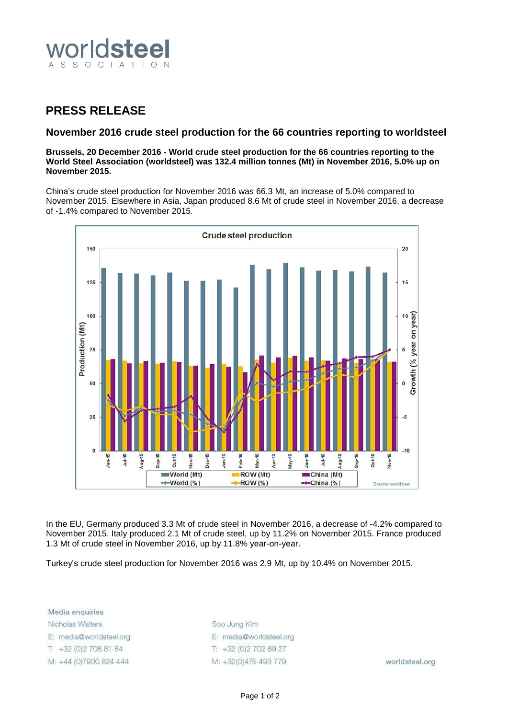

## **PRESS RELEASE**

## **November 2016 crude steel production for the 66 countries reporting to worldsteel**

**Brussels, 20 December 2016 - World crude steel production for the 66 countries reporting to the World Steel Association (worldsteel) was 132.4 million tonnes (Mt) in November 2016, 5.0% up on November 2015.**

China's crude steel production for November 2016 was 66.3 Mt, an increase of 5.0% compared to November 2015. Elsewhere in Asia, Japan produced 8.6 Mt of crude steel in November 2016, a decrease of -1.4% compared to November 2015.



In the EU, Germany produced 3.3 Mt of crude steel in November 2016, a decrease of -4.2% compared to November 2015. Italy produced 2.1 Mt of crude steel, up by 11.2% on November 2015. France produced 1.3 Mt of crude steel in November 2016, up by 11.8% year-on-year.

Turkey's crude steel production for November 2016 was 2.9 Mt, up by 10.4% on November 2015.

Media enquiries Nicholas Walters E: media@worldsteel.org T: +32 (0) 2 708 81 84 M: +44 (0)7900 824 444

Soo Jung Kim E: media@worldsteel.org T: +32 (0) 2 70 2 89 27 M: +32(0)475 493 779

worldsteel.org